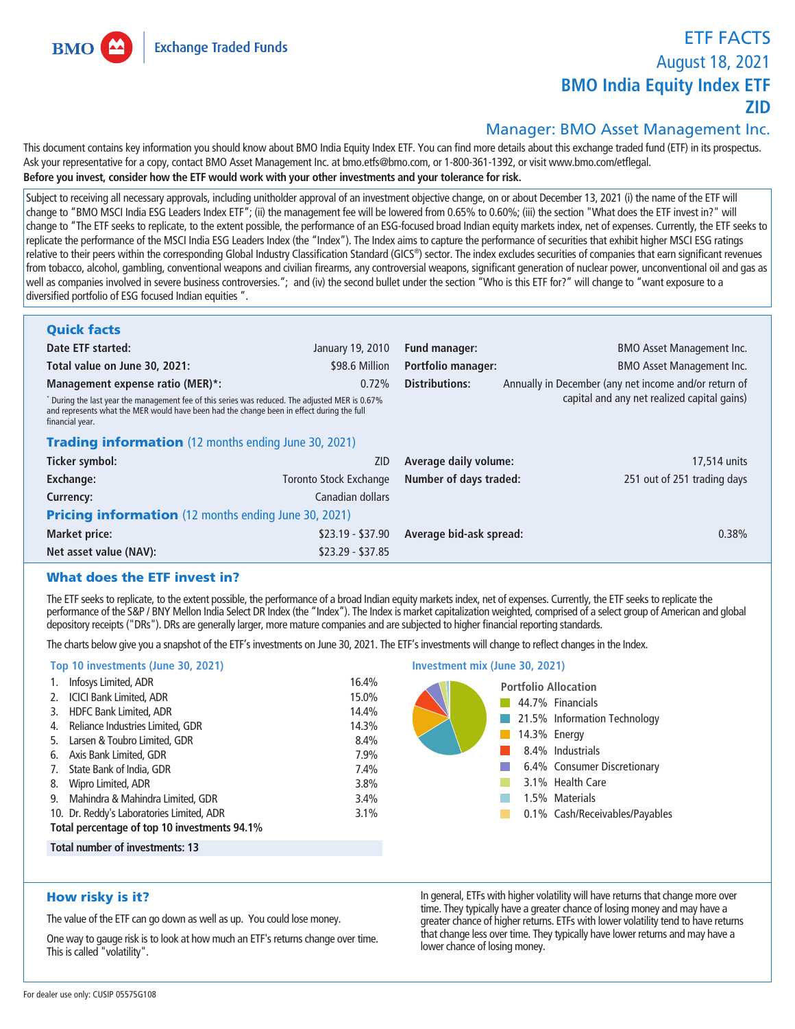**Exchange Traded Funds** 

**BMO** 

# **ETF FACTS August 18, 2021 BMO India Equity Index ETF ZID**

# **Manager: BMO Asset Management Inc.**

**This document contains key information you should know about BMO India Equity Index ETF. You can find more details about this exchange traded fund (ETF) in its prospectus. Ask your representative for a copy, contact BMO Asset Management Inc. at bmo.etfs@bmo.com, or 1-800-361-1392, or visit www.bmo.com/etflegal. Before you invest, consider how the ETF would work with your other investments and your tolerance for risk.**

Subject to receiving all necessary approvals, including unitholder approval of an investment objective change, on or about December 13, 2021 (i) the name of the ETF will **change to "BMO MSCI India ESG Leaders Index ETF"; (ii) the management fee will be lowered from 0.65% to 0.60%; (iii) the section "What does the ETF invest in?" will change to "The ETF seeks to replicate, to the extent possible, the performance of an ESG-focused broad Indian equity markets index, net of expenses. Currently, the ETF seeks to replicate the performance of the MSCI India ESG Leaders Index (the "Index"). The Index aims to capture the performance of securities that exhibit higher MSCI ESG ratings relative to their peers within the corresponding Global Industry Classification Standard (GICS® ) sector. The index excludes securities of companies that earn significant revenues from tobacco, alcohol, gambling, conventional weapons and civilian firearms, any controversial weapons, significant generation of nuclear power, unconventional oil and gas as well as companies involved in severe business controversies."; and (iv) the second bullet under the section "Who is this ETF for?" will change to "want exposure to a diversified portfolio of ESG focused Indian equities ".**

| <b>Quick facts</b>                                                                                                                                                                                                                                                |                        |                           |                                                       |  |  |  |
|-------------------------------------------------------------------------------------------------------------------------------------------------------------------------------------------------------------------------------------------------------------------|------------------------|---------------------------|-------------------------------------------------------|--|--|--|
| Date ETF started:                                                                                                                                                                                                                                                 | January 19, 2010       | <b>Fund manager:</b>      | <b>BMO Asset Management Inc.</b>                      |  |  |  |
| Total value on June 30, 2021:                                                                                                                                                                                                                                     | \$98.6 Million         | <b>Portfolio manager:</b> | <b>BMO Asset Management Inc.</b>                      |  |  |  |
| Management expense ratio (MER)*:                                                                                                                                                                                                                                  | 0.72%                  | Distributions:            | Annually in December (any net income and/or return of |  |  |  |
| capital and any net realized capital gains)<br>$^*$ During the last year the management fee of this series was reduced. The adjusted MER is 0.67%<br>and represents what the MER would have been had the change been in effect during the full<br>financial year. |                        |                           |                                                       |  |  |  |
| <b>Trading information</b> (12 months ending June 30, 2021)                                                                                                                                                                                                       |                        |                           |                                                       |  |  |  |
| Ticker symbol:                                                                                                                                                                                                                                                    | <b>ZID</b>             | Average daily volume:     | 17,514 units                                          |  |  |  |
| <b>Exchange:</b>                                                                                                                                                                                                                                                  | Toronto Stock Exchange | Number of days traded:    | 251 out of 251 trading days                           |  |  |  |
| Currency:                                                                                                                                                                                                                                                         | Canadian dollars       |                           |                                                       |  |  |  |
| <b>Pricing information</b> (12 months ending June 30, 2021)                                                                                                                                                                                                       |                        |                           |                                                       |  |  |  |
| Market price:                                                                                                                                                                                                                                                     | $$23.19 - $37.90$      | Average bid-ask spread:   | 0.38%                                                 |  |  |  |
| Net asset value (NAV):                                                                                                                                                                                                                                            | $$23.29 - $37.85$      |                           |                                                       |  |  |  |

# What does the ETF invest in?

**The ETF seeks to replicate, to the extent possible, the performance of a broad Indian equity markets index, net of expenses. Currently, the ETF seeks to replicate the performance of the S&P / BNY Mellon India Select DR Index (the "Index"). The Index is market capitalization weighted, comprised of a select group of American and global depository receipts ("DRs"). DRs are generally larger, more mature companies and are subjected to higher financial reporting standards.**

**The charts below give you a snapshot of the ETF's investments on June 30, 2021. The ETF's investments will change to reflect changes in the Index.**

## **Top 10 investments (June 30, 2021) 1. Infosys Limited, ADR 16.4% 2. ICICI Bank Limited, ADR 15.0% 3. HDFC Bank Limited, ADR 14.4% 4. Reliance Industries Limited, GDR 14.3% 5. Larsen & Toubro Limited, GDR 8.4% 6. Axis Bank Limited, GDR 7.9% Investment mix (June 30, 2021)**

**7. State Bank of India, GDR 7.4% 8. Wipro Limited, ADR 3.8% 9. Mahindra & Mahindra Limited, GDR 3.4% 10. Dr. Reddy's Laboratories Limited, ADR 3.1% Total percentage of top 10 investments 94.1%**

**Total number of investments: 13**

# How risky is it?

**The value of the ETF can go down as well as up. You could lose money.**

**One way to gauge risk is to look at how much an ETF's returns change over time. This is called "volatility".**

**In general, ETFs with higher volatility will have returns that change more over time. They typically have a greater chance of losing money and may have a greater chance of higher returns. ETFs with lower volatility tend to have returns that change less over time. They typically have lower returns and may have a lower chance of losing money.**

**Portfolio Allocation 44.7% Financials**

> **14.3% Energy 8.4% Industrials**

T.

 $\sim$ **COL** 

**3.1% Health Care 1.5% Materials**

**21.5% Information Technology**

**6.4% Consumer Discretionary**

**0.1% Cash/Receivables/Payables**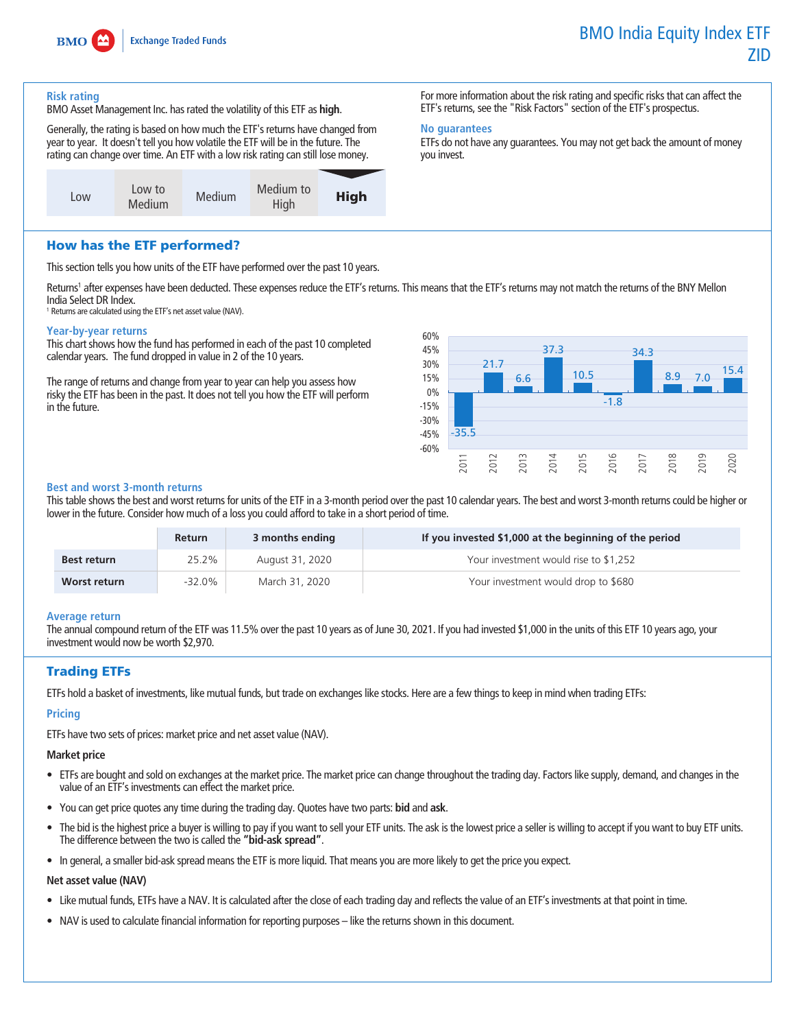

#### **Risk rating**

**BMO Asset Management Inc. has rated the volatility of this ETF as high.**

**Generally, the rating is based on how much the ETF's returns have changed from year to year. It doesn't tell you how volatile the ETF will be in the future. The rating can change over time. An ETF with a low risk rating can still lose money.**



**For more information about the risk rating and specific risks that can affect the ETF's returns, see the "Risk Factors" section of the ETF's prospectus.**

# **No guarantees**

**ETFs do not have any guarantees. You may not get back the amount of money you invest.**

# How has the ETF performed?

**This section tells you how units of the ETF have performed over the past 10 years.**

**Returns<sup>1</sup> after expenses have been deducted. These expenses reduce the ETF's returns. This means that the ETF's returns may not match the returns of the BNY Mellon India Select DR Index.**

**<sup>1</sup> Returns are calculated using the ETF's net asset value (NAV).**

#### **Year-by-year returns**

**This chart shows how the fund has performed in each of the past 10 completed calendar years. The fund dropped in value in 2 of the 10 years.**

**The range of returns and change from year to year can help you assess how risky the ETF has been in the past. It does not tell you how the ETF will perform in the future.**



## **Best and worst 3-month returns**

**This table shows the best and worst returns for units of the ETF in a 3-month period over the past 10 calendar years. The best and worst 3-month returns could be higher or lower in the future. Consider how much of a loss you could afford to take in a short period of time.**

|                    | <b>Return</b> | 3 months ending | If you invested \$1,000 at the beginning of the period |
|--------------------|---------------|-----------------|--------------------------------------------------------|
| <b>Best return</b> | 25.2%         | August 31, 2020 | Your investment would rise to \$1,252                  |
| Worst return       | -32.0%        | March 31, 2020  | Your investment would drop to \$680                    |

#### **Average return**

**The annual compound return of the ETF was 11.5% over the past 10 years as of June 30, 2021. If you had invested \$1,000 in the units of this ETF 10 years ago, your investment would now be worth \$2,970.**

# Trading ETFs

**ETFs hold a basket of investments, like mutual funds, but trade on exchanges like stocks. Here are a few things to keep in mind when trading ETFs:**

#### **Pricing**

**ETFs have two sets of prices: market price and net asset value (NAV).**

#### **Market price**

- **• ETFs are bought and sold on exchanges at the market price. The market price can change throughout the trading day. Factors like supply, demand, and changes in the value of an ETF's investments can effect the market price.**
- **• You can get price quotes any time during the trading day. Quotes have two parts: bid and ask.**
- **• The bid is the highest price a buyer is willing to pay if you want to sell your ETF units. The ask is the lowest price a seller is willing to accept if you want to buy ETF units. The difference between the two is called the "bid-ask spread".**
- **• In general, a smaller bid-ask spread means the ETF is more liquid. That means you are more likely to get the price you expect.**

#### **Net asset value (NAV)**

- **• Like mutual funds, ETFs have a NAV. It is calculated after the close of each trading day and reflects the value of an ETF's investments at that point in time.**
- **• NAV is used to calculate financial information for reporting purposes like the returns shown in this document.**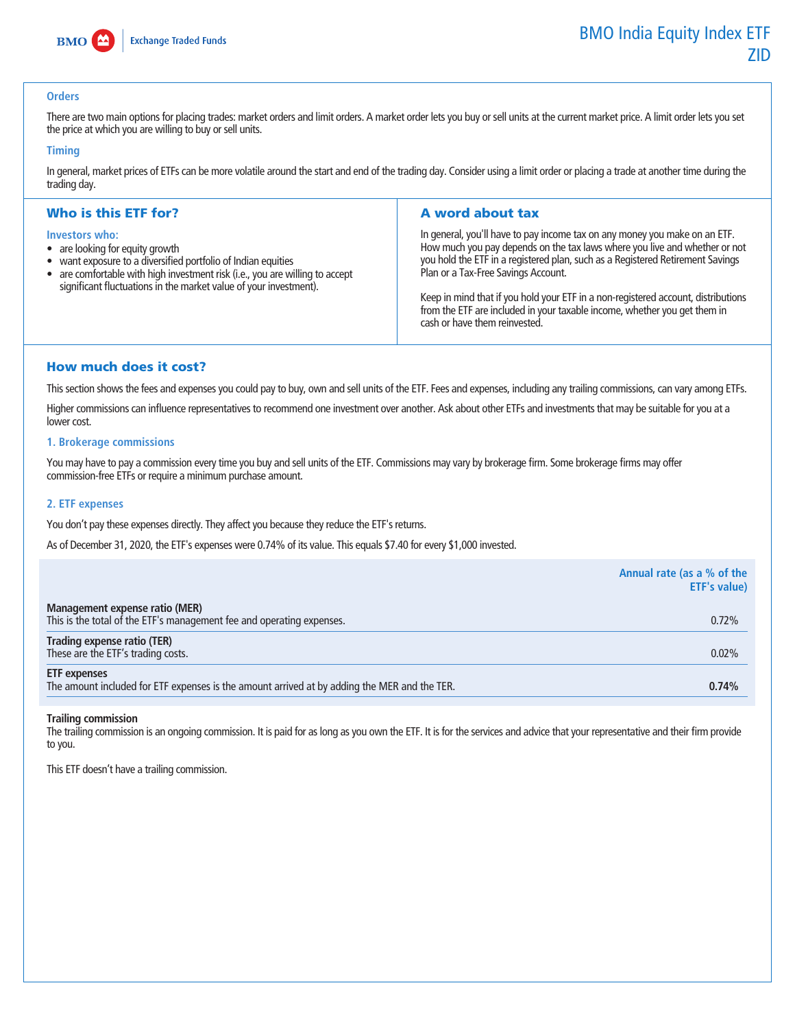

## **Orders**

There are two main options for placing trades: market orders and limit orders. A market order lets you buy or sell units at the current market price. A limit order lets you set **the price at which you are willing to buy or sell units.**

## **Timing**

**In general, market prices of ETFs can be more volatile around the start and end of the trading day. Consider using a limit order or placing a trade at another time during the trading day.**

# Who is this ETF for?

#### **Investors who:**

- **• are looking for equity growth**
- **• want exposure to a diversified portfolio of Indian equities**
- **• are comfortable with high investment risk (i.e., you are willing to accept significant fluctuations in the market value of your investment).**

# A word about tax

**In general, you'll have to pay income tax on any money you make on an ETF. How much you pay depends on the tax laws where you live and whether or not you hold the ETF in a registered plan, such as a Registered Retirement Savings Plan or a Tax-Free Savings Account.**

**Keep in mind that if you hold your ETF in a non-registered account, distributions from the ETF are included in your taxable income, whether you get them in cash or have them reinvested.**

# How much does it cost?

**This section shows the fees and expenses you could pay to buy, own and sell units of the ETF. Fees and expenses, including any trailing commissions, can vary among ETFs.**

**Higher commissions can influence representatives to recommend one investment over another. Ask about other ETFs and investments that may be suitable for you at a**  lower cost.

#### **1. Brokerage commissions**

**You may have to pay a commission every time you buy and sell units of the ETF. Commissions may vary by brokerage firm. Some brokerage firms may offer commission-free ETFs or require a minimum purchase amount.**

## **2. ETF expenses**

You don't pay these expenses directly. They affect you because they reduce the ETF's returns.

**As of December 31, 2020, the ETF's expenses were 0.74% of its value. This equals \$7.40 for every \$1,000 invested.**

|                                                                                                                     | Annual rate (as a % of the<br><b>ETF's value)</b> |
|---------------------------------------------------------------------------------------------------------------------|---------------------------------------------------|
| Management expense ratio (MER)<br>This is the total of the ETF's management fee and operating expenses.             | 0.72%                                             |
| Trading expense ratio (TER)<br>These are the ETF's trading costs.                                                   | 0.02%                                             |
| <b>ETF</b> expenses<br>The amount included for ETF expenses is the amount arrived at by adding the MER and the TER. | 0.74%                                             |

#### **Trailing commission**

**The trailing commission is an ongoing commission. It is paid for as long as you own the ETF. It is for the services and advice that your representative and their firm provide to you.**

**This ETF doesn't have a trailing commission.**